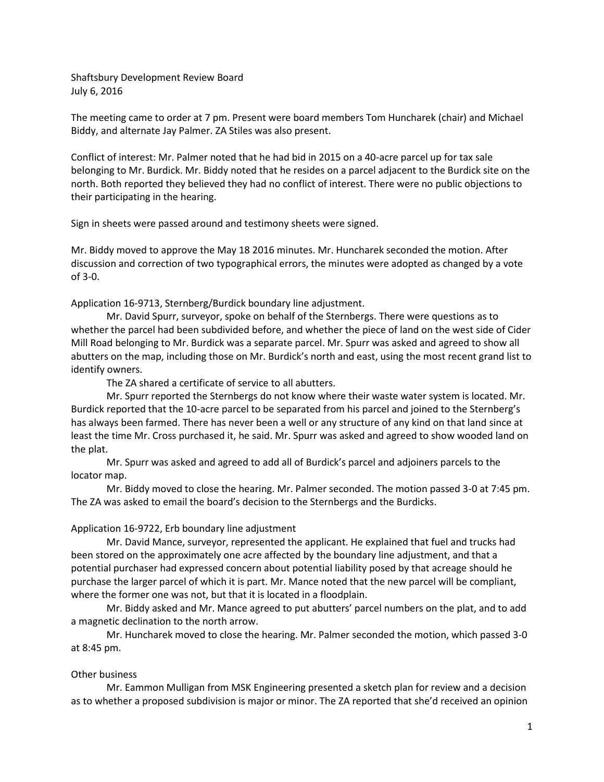Shaftsbury Development Review Board July 6, 2016

The meeting came to order at 7 pm. Present were board members Tom Huncharek (chair) and Michael Biddy, and alternate Jay Palmer. ZA Stiles was also present.

Conflict of interest: Mr. Palmer noted that he had bid in 2015 on a 40-acre parcel up for tax sale belonging to Mr. Burdick. Mr. Biddy noted that he resides on a parcel adjacent to the Burdick site on the north. Both reported they believed they had no conflict of interest. There were no public objections to their participating in the hearing.

Sign in sheets were passed around and testimony sheets were signed.

Mr. Biddy moved to approve the May 18 2016 minutes. Mr. Huncharek seconded the motion. After discussion and correction of two typographical errors, the minutes were adopted as changed by a vote of 3-0.

Application 16-9713, Sternberg/Burdick boundary line adjustment.

Mr. David Spurr, surveyor, spoke on behalf of the Sternbergs. There were questions as to whether the parcel had been subdivided before, and whether the piece of land on the west side of Cider Mill Road belonging to Mr. Burdick was a separate parcel. Mr. Spurr was asked and agreed to show all abutters on the map, including those on Mr. Burdick's north and east, using the most recent grand list to identify owners.

The ZA shared a certificate of service to all abutters.

Mr. Spurr reported the Sternbergs do not know where their waste water system is located. Mr. Burdick reported that the 10-acre parcel to be separated from his parcel and joined to the Sternberg's has always been farmed. There has never been a well or any structure of any kind on that land since at least the time Mr. Cross purchased it, he said. Mr. Spurr was asked and agreed to show wooded land on the plat.

Mr. Spurr was asked and agreed to add all of Burdick's parcel and adjoiners parcels to the locator map.

Mr. Biddy moved to close the hearing. Mr. Palmer seconded. The motion passed 3-0 at 7:45 pm. The ZA was asked to email the board's decision to the Sternbergs and the Burdicks.

## Application 16-9722, Erb boundary line adjustment

Mr. David Mance, surveyor, represented the applicant. He explained that fuel and trucks had been stored on the approximately one acre affected by the boundary line adjustment, and that a potential purchaser had expressed concern about potential liability posed by that acreage should he purchase the larger parcel of which it is part. Mr. Mance noted that the new parcel will be compliant, where the former one was not, but that it is located in a floodplain.

Mr. Biddy asked and Mr. Mance agreed to put abutters' parcel numbers on the plat, and to add a magnetic declination to the north arrow.

Mr. Huncharek moved to close the hearing. Mr. Palmer seconded the motion, which passed 3-0 at 8:45 pm.

## Other business

Mr. Eammon Mulligan from MSK Engineering presented a sketch plan for review and a decision as to whether a proposed subdivision is major or minor. The ZA reported that she'd received an opinion